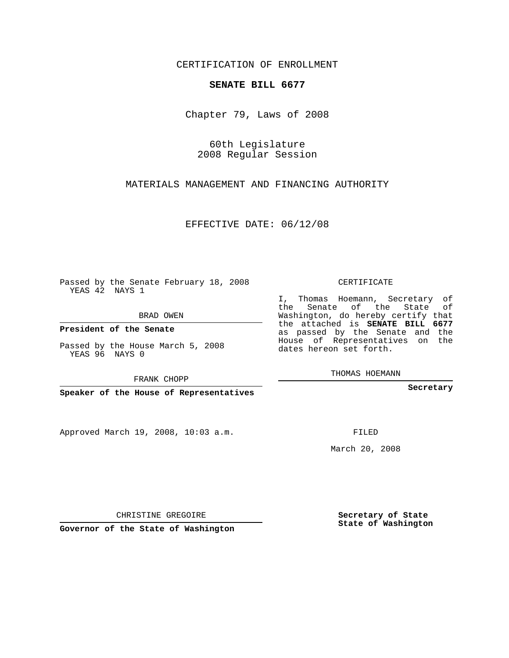CERTIFICATION OF ENROLLMENT

## **SENATE BILL 6677**

Chapter 79, Laws of 2008

60th Legislature 2008 Regular Session

MATERIALS MANAGEMENT AND FINANCING AUTHORITY

EFFECTIVE DATE: 06/12/08

Passed by the Senate February 18, 2008 YEAS 42 NAYS 1

BRAD OWEN

**President of the Senate**

Passed by the House March 5, 2008 YEAS 96 NAYS 0

FRANK CHOPP

**Speaker of the House of Representatives**

Approved March 19, 2008, 10:03 a.m.

CERTIFICATE

I, Thomas Hoemann, Secretary of the Senate of the State of Washington, do hereby certify that the attached is **SENATE BILL 6677** as passed by the Senate and the House of Representatives on the dates hereon set forth.

THOMAS HOEMANN

**Secretary**

FILED

March 20, 2008

**Secretary of State State of Washington**

CHRISTINE GREGOIRE

**Governor of the State of Washington**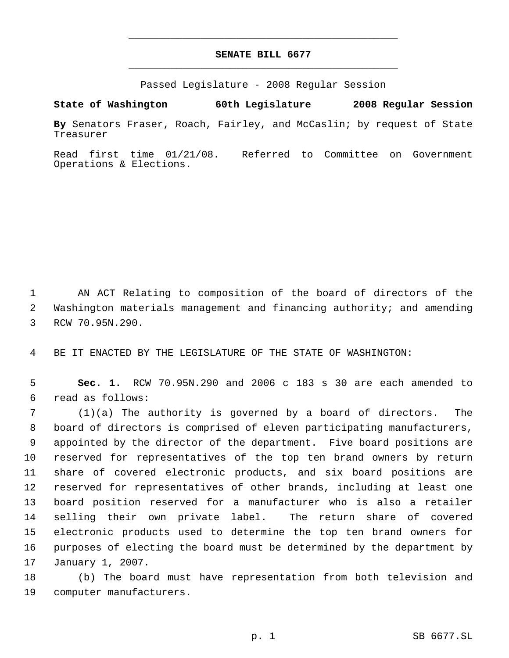## **SENATE BILL 6677** \_\_\_\_\_\_\_\_\_\_\_\_\_\_\_\_\_\_\_\_\_\_\_\_\_\_\_\_\_\_\_\_\_\_\_\_\_\_\_\_\_\_\_\_\_

\_\_\_\_\_\_\_\_\_\_\_\_\_\_\_\_\_\_\_\_\_\_\_\_\_\_\_\_\_\_\_\_\_\_\_\_\_\_\_\_\_\_\_\_\_

Passed Legislature - 2008 Regular Session

**State of Washington 60th Legislature 2008 Regular Session By** Senators Fraser, Roach, Fairley, and McCaslin; by request of State Treasurer

Read first time 01/21/08. Referred to Committee on Government Operations & Elections.

 AN ACT Relating to composition of the board of directors of the Washington materials management and financing authority; and amending RCW 70.95N.290.

BE IT ENACTED BY THE LEGISLATURE OF THE STATE OF WASHINGTON:

 **Sec. 1.** RCW 70.95N.290 and 2006 c 183 s 30 are each amended to read as follows:

 (1)(a) The authority is governed by a board of directors. The board of directors is comprised of eleven participating manufacturers, appointed by the director of the department. Five board positions are reserved for representatives of the top ten brand owners by return share of covered electronic products, and six board positions are reserved for representatives of other brands, including at least one board position reserved for a manufacturer who is also a retailer selling their own private label. The return share of covered electronic products used to determine the top ten brand owners for purposes of electing the board must be determined by the department by January 1, 2007.

 (b) The board must have representation from both television and computer manufacturers.